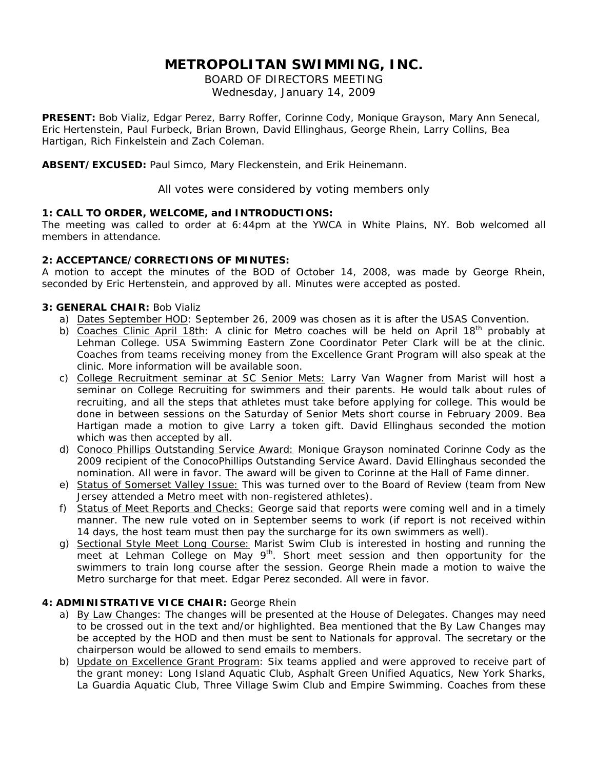# **METROPOLITAN SWIMMING, INC.**

BOARD OF DIRECTORS MEETING Wednesday, January 14, 2009

**PRESENT:** Bob Vializ, Edgar Perez, Barry Roffer, Corinne Cody, Monique Grayson, Mary Ann Senecal, Eric Hertenstein, Paul Furbeck, Brian Brown, David Ellinghaus, George Rhein, Larry Collins, Bea Hartigan, Rich Finkelstein and Zach Coleman.

**ABSENT/EXCUSED:** Paul Simco, Mary Fleckenstein, and Erik Heinemann.

All votes were considered by voting members only

# **1: CALL TO ORDER, WELCOME, and INTRODUCTIONS:**

The meeting was called to order at 6:44pm at the YWCA in White Plains, NY. Bob welcomed all members in attendance.

# **2: ACCEPTANCE/CORRECTIONS OF MINUTES:**

A motion to accept the minutes of the BOD of October 14, 2008, was made by George Rhein, seconded by Eric Hertenstein, and approved by all. Minutes were accepted as posted.

# **3: GENERAL CHAIR:** Bob Vializ

- a) Dates September HOD: September 26, 2009 was chosen as it is after the USAS Convention.
- b) Coaches Clinic April 18th: A clinic for Metro coaches will be held on April 18<sup>th</sup> probably at Lehman College. USA Swimming Eastern Zone Coordinator Peter Clark will be at the clinic. Coaches from teams receiving money from the Excellence Grant Program will also speak at the clinic. More information will be available soon.
- c) College Recruitment seminar at SC Senior Mets: Larry Van Wagner from Marist will host a seminar on College Recruiting for swimmers and their parents. He would talk about rules of recruiting, and all the steps that athletes must take before applying for college. This would be done in between sessions on the Saturday of Senior Mets short course in February 2009. Bea Hartigan made a motion to give Larry a token gift. David Ellinghaus seconded the motion which was then accepted by all.
- d) Conoco Phillips Outstanding Service Award: Monique Grayson nominated Corinne Cody as the 2009 recipient of the ConocoPhillips Outstanding Service Award. David Ellinghaus seconded the nomination. All were in favor. The award will be given to Corinne at the Hall of Fame dinner.
- e) Status of Somerset Valley Issue: This was turned over to the Board of Review (team from New Jersey attended a Metro meet with non-registered athletes).
- f) Status of Meet Reports and Checks: George said that reports were coming well and in a timely manner. The new rule voted on in September seems to work (if report is not received within 14 days, the host team must then pay the surcharge for its own swimmers as well).
- g) Sectional Style Meet Long Course: Marist Swim Club is interested in hosting and running the meet at Lehman College on May 9<sup>th</sup>. Short meet session and then opportunity for the swimmers to train long course after the session. George Rhein made a motion to waive the Metro surcharge for that meet. Edgar Perez seconded. All were in favor.

# **4: ADMINISTRATIVE VICE CHAIR:** George Rhein

- a) By Law Changes: The changes will be presented at the House of Delegates. Changes may need to be crossed out in the text and/or highlighted. Bea mentioned that the By Law Changes may be accepted by the HOD and then must be sent to Nationals for approval. The secretary or the chairperson would be allowed to send emails to members.
- b) Update on Excellence Grant Program: Six teams applied and were approved to receive part of the grant money: Long Island Aquatic Club, Asphalt Green Unified Aquatics, New York Sharks, La Guardia Aquatic Club, Three Village Swim Club and Empire Swimming. Coaches from these